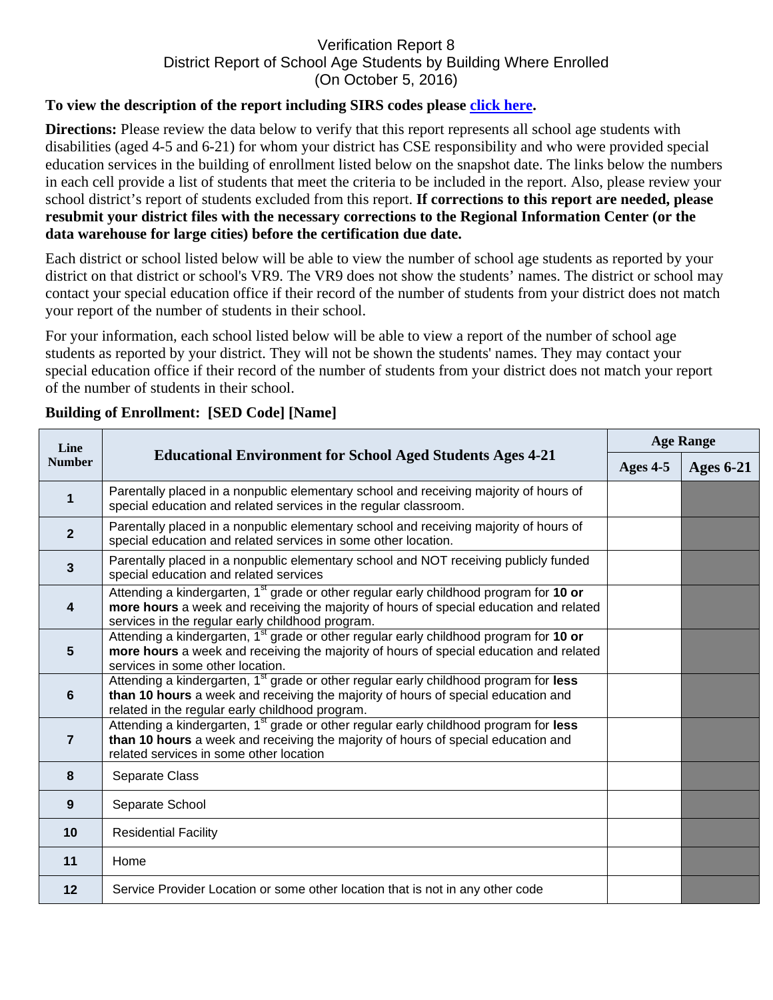## Verification Report 8 District Report of School Age Students by Building Where Enrolled (On October 5, 2016)

## **To view the description of the report including SIRS codes please click here.**

**Directions:** Please review the data below to verify that this report represents all school age students with disabilities (aged 4-5 and 6-21) for whom your district has CSE responsibility and who were provided special education services in the building of enrollment listed below on the snapshot date. The links below the numbers in each cell provide a list of students that meet the criteria to be included in the report. Also, please review your school district's report of students excluded from this report. **If corrections to this report are needed, please resubmit your district files with the necessary corrections to the Regional Information Center (or the data warehouse for large cities) before the certification due date.** 

Each district or school listed below will be able to view the number of school age students as reported by your district on that district or school's VR9. The VR9 does not show the students' names. The district or school may contact your special education office if their record of the number of students from your district does not match your report of the number of students in their school.

For your information, each school listed below will be able to view a report of the number of school age students as reported by your district. They will not be shown the students' names. They may contact your special education office if their record of the number of students from your district does not match your report of the number of students in their school.

| Line<br><b>Number</b>   | <b>Educational Environment for School Aged Students Ages 4-21</b>                                                                                                                                                                                | <b>Age Range</b> |                  |
|-------------------------|--------------------------------------------------------------------------------------------------------------------------------------------------------------------------------------------------------------------------------------------------|------------------|------------------|
|                         |                                                                                                                                                                                                                                                  | Ages 4-5         | <b>Ages 6-21</b> |
| $\mathbf 1$             | Parentally placed in a nonpublic elementary school and receiving majority of hours of<br>special education and related services in the regular classroom.                                                                                        |                  |                  |
| $\mathbf{2}$            | Parentally placed in a nonpublic elementary school and receiving majority of hours of<br>special education and related services in some other location.                                                                                          |                  |                  |
| $\mathbf{3}$            | Parentally placed in a nonpublic elementary school and NOT receiving publicly funded<br>special education and related services                                                                                                                   |                  |                  |
| $\overline{\mathbf{4}}$ | Attending a kindergarten, 1 <sup>st</sup> grade or other regular early childhood program for 10 or<br>more hours a week and receiving the majority of hours of special education and related<br>services in the regular early childhood program. |                  |                  |
| $5\phantom{1}$          | Attending a kindergarten, 1 <sup>st</sup> grade or other regular early childhood program for 10 or<br>more hours a week and receiving the majority of hours of special education and related<br>services in some other location.                 |                  |                  |
| $6\phantom{1}$          | Attending a kindergarten, 1 <sup>st</sup> grade or other regular early childhood program for less<br>than 10 hours a week and receiving the majority of hours of special education and<br>related in the regular early childhood program.        |                  |                  |
| $\overline{7}$          | Attending a kindergarten, 1 <sup>st</sup> grade or other regular early childhood program for less<br>than 10 hours a week and receiving the majority of hours of special education and<br>related services in some other location                |                  |                  |
| 8                       | Separate Class                                                                                                                                                                                                                                   |                  |                  |
| $\boldsymbol{9}$        | Separate School                                                                                                                                                                                                                                  |                  |                  |
| 10                      | <b>Residential Facility</b>                                                                                                                                                                                                                      |                  |                  |
| 11                      | Home                                                                                                                                                                                                                                             |                  |                  |
| $12 \overline{ }$       | Service Provider Location or some other location that is not in any other code                                                                                                                                                                   |                  |                  |

## **Building of Enrollment: [SED Code] [Name]**